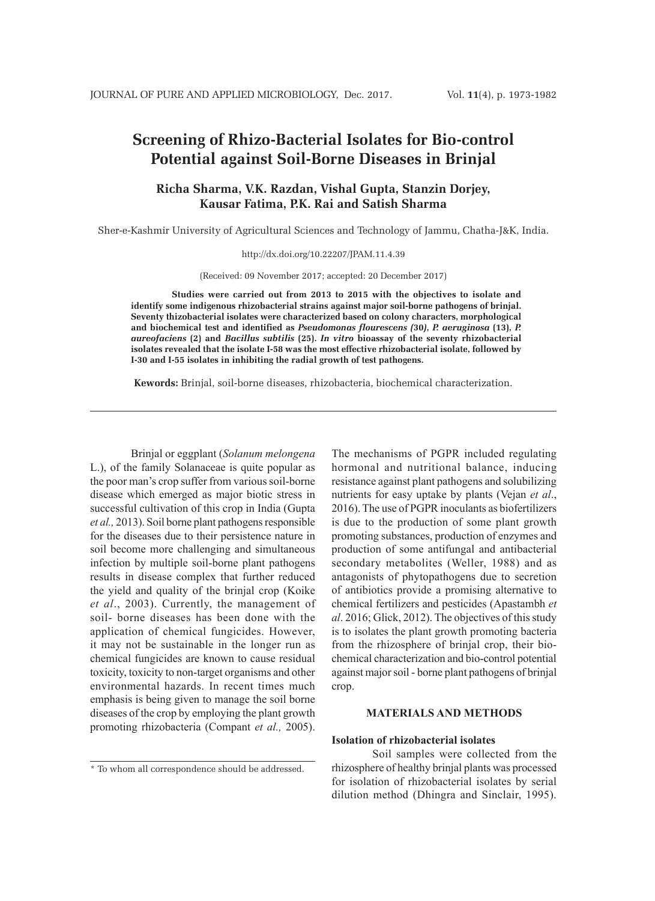# **Screening of Rhizo-Bacterial Isolates for Bio-control Potential against Soil-Borne Diseases in Brinjal**

# **Richa Sharma, V.K. Razdan, Vishal Gupta, Stanzin Dorjey, Kausar Fatima, P.K. Rai and Satish Sharma**

Sher-e-Kashmir University of Agricultural Sciences and Technology of Jammu, Chatha-J&K, India.

http://dx.doi.org/10.22207/JPAM.11.4.39

(Received: 09 November 2017; accepted: 20 December 2017)

**Studies were carried out from 2013 to 2015 with the objectives to isolate and identify some indigenous rhizobacterial strains against major soil-borne pathogens of brinjal. Seventy thizobacterial isolates were characterized based on colony characters, morphological and biochemical test and identified as** *Pseudomonas flourescens (***30***)***,** *P. aeruginosa* **(13),** *P. aureofaciens* **(2) and** *Bacillus subtilis* **(25).** *In vitro* **bioassay of the seventy rhizobacterial isolates revealed that the isolate I-58 was the most effective rhizobacterial isolate, followed by I-30 and I-55 isolates in inhibiting the radial growth of test pathogens.**

**Kewords:** Brinjal, soil-borne diseases, rhizobacteria, biochemical characterization.

Brinjal or eggplant (*Solanum melongena*  L.), of the family Solanaceae is quite popular as the poor man's crop suffer from various soil-borne disease which emerged as major biotic stress in successful cultivation of this crop in India (Gupta *et al.,* 2013). Soil borne plant pathogens responsible for the diseases due to their persistence nature in soil become more challenging and simultaneous infection by multiple soil-borne plant pathogens results in disease complex that further reduced the yield and quality of the brinjal crop (Koike *et al*., 2003). Currently, the management of soil- borne diseases has been done with the application of chemical fungicides. However, it may not be sustainable in the longer run as chemical fungicides are known to cause residual toxicity, toxicity to non-target organisms and other environmental hazards. In recent times much emphasis is being given to manage the soil borne diseases of the crop by employing the plant growth promoting rhizobacteria (Compant *et al.,* 2005).

The mechanisms of PGPR included regulating hormonal and nutritional balance, inducing resistance against plant pathogens and solubilizing nutrients for easy uptake by plants (Vejan *et al*., 2016). The use of PGPR inoculants as biofertilizers is due to the production of some plant growth promoting substances, production of enzymes and production of some antifungal and antibacterial secondary metabolites (Weller, 1988) and as antagonists of phytopathogens due to secretion of antibiotics provide a promising alternative to chemical fertilizers and pesticides (Apastambh *et al*. 2016; Glick, 2012). The objectives of this study is to isolates the plant growth promoting bacteria from the rhizosphere of brinjal crop, their biochemical characterization and bio-control potential against major soil - borne plant pathogens of brinjal crop.

#### **MATERIALS AND METHODS**

## **Isolation of rhizobacterial isolates**

Soil samples were collected from the rhizosphere of healthy brinjal plants was processed for isolation of rhizobacterial isolates by serial dilution method (Dhingra and Sinclair, 1995).

<sup>\*</sup> To whom all correspondence should be addressed.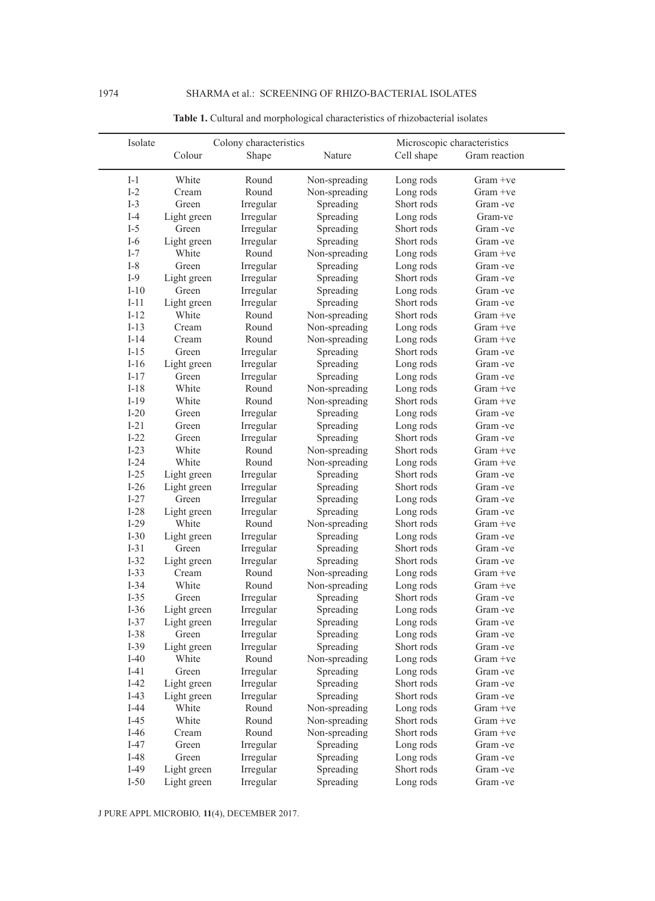| Isolate |             | Colony characteristics |               |            | Microscopic characteristics |
|---------|-------------|------------------------|---------------|------------|-----------------------------|
|         | Colour      | Shape                  | Nature        | Cell shape | Gram reaction               |
|         |             |                        |               |            |                             |
| $I-1$   | White       | Round                  | Non-spreading | Long rods  | $Gram +ve$                  |
| $I-2$   | Cream       | Round                  | Non-spreading | Long rods  | $Gram +ve$                  |
| $I-3$   | Green       | Irregular              | Spreading     | Short rods | Gram -ve                    |
| $I-4$   | Light green | Irregular              | Spreading     | Long rods  | Gram-ve                     |
| $I-5$   | Green       | Irregular              | Spreading     | Short rods | Gram -ve                    |
| $I-6$   | Light green | Irregular              | Spreading     | Short rods | Gram -ve                    |
| $I-7$   | White       | Round                  | Non-spreading | Long rods  | $Gram +ve$                  |
| $I-8$   | Green       | Irregular              | Spreading     | Long rods  | Gram -ve                    |
| $I-9$   | Light green | Irregular              | Spreading     | Short rods | Gram -ve                    |
| $I-10$  | Green       | Irregular              | Spreading     | Long rods  | Gram -ve                    |
| $I-11$  | Light green | Irregular              | Spreading     | Short rods | Gram -ve                    |
| $I-12$  | White       | Round                  | Non-spreading | Short rods | $Gram +ve$                  |
| $I-13$  | Cream       | Round                  | Non-spreading | Long rods  | $Gram +ve$                  |
| $I-14$  | Cream       | Round                  | Non-spreading | Long rods  | $Gram +ve$                  |
| $I-15$  | Green       | Irregular              | Spreading     | Short rods | Gram -ve                    |
| $I-16$  | Light green | Irregular              | Spreading     | Long rods  | Gram -ve                    |
| $I-17$  | Green       | Irregular              | Spreading     | Long rods  | Gram -ve                    |
| $I-18$  | White       | Round                  | Non-spreading | Long rods  | $Gram +ve$                  |
| $I-19$  | White       | Round                  | Non-spreading | Short rods | $Gram +ve$                  |
| $I-20$  | Green       | Irregular              | Spreading     | Long rods  | Gram -ve                    |
| $I-21$  | Green       | Irregular              | Spreading     | Long rods  | Gram -ve                    |
| $I-22$  | Green       | Irregular              | Spreading     | Short rods | Gram -ve                    |
| $I-23$  | White       | Round                  | Non-spreading | Short rods | $Gram +ve$                  |
| $I-24$  | White       | Round                  | Non-spreading | Long rods  | $Gram +ve$                  |
| $I-25$  | Light green | Irregular              | Spreading     | Short rods | Gram -ve                    |
| $I-26$  | Light green | Irregular              | Spreading     | Short rods | Gram -ve                    |
| $I-27$  | Green       | Irregular              | Spreading     | Long rods  | Gram -ve                    |
| $I-28$  | Light green | Irregular              | Spreading     | Long rods  | Gram -ve                    |
| $I-29$  | White       | Round                  | Non-spreading | Short rods | $Gram +ve$                  |
| $I-30$  | Light green | Irregular              | Spreading     | Long rods  | Gram -ve                    |
| $I-31$  | Green       | Irregular              | Spreading     | Short rods | Gram -ve                    |
| $I-32$  | Light green | Irregular              | Spreading     | Short rods | Gram -ve                    |
| $I-33$  | Cream       | Round                  | Non-spreading | Long rods  | $Gram +ve$                  |
| $I-34$  | White       | Round                  | Non-spreading | Long rods  | $Gram +ve$                  |
| $I-35$  | Green       | Irregular              | Spreading     | Short rods | Gram -ve                    |
| $I-36$  | Light green | Irregular              | Spreading     | Long rods  | Gram -ve                    |
| $I-37$  | Light green | Irregular              | Spreading     | Long rods  | Gram -ve                    |
| $I-38$  | Green       | Irregular              | Spreading     | Long rods  | Gram -ve                    |
| $I-39$  | Light green | Irregular              | Spreading     | Short rods | Gram -ve                    |
| $I-40$  | White       | Round                  | Non-spreading | Long rods  | $Gram +ve$                  |
| $I-41$  | Green       | Irregular              | Spreading     | Long rods  | Gram -ve                    |
| $I-42$  | Light green | Irregular              | Spreading     | Short rods | Gram -ve                    |
| $I-43$  | Light green | Irregular              | Spreading     | Short rods | Gram -ve                    |
| $I-44$  | White       | Round                  | Non-spreading | Long rods  | $Gram +ve$                  |
| $I-45$  | White       | Round                  | Non-spreading | Short rods | $Gram +ve$                  |
| $I-46$  | Cream       | Round                  | Non-spreading | Short rods | $Gram +ve$                  |
| $I-47$  | Green       | Irregular              | Spreading     | Long rods  | Gram -ve                    |
| $I-48$  | Green       | Irregular              | Spreading     | Long rods  | Gram -ve                    |
| $I-49$  | Light green | Irregular              | Spreading     | Short rods | Gram -ve                    |
| $I-50$  | Light green | Irregular              | Spreading     | Long rods  | Gram -ve                    |

**Table 1.** Cultural and morphological characteristics of rhizobacterial isolates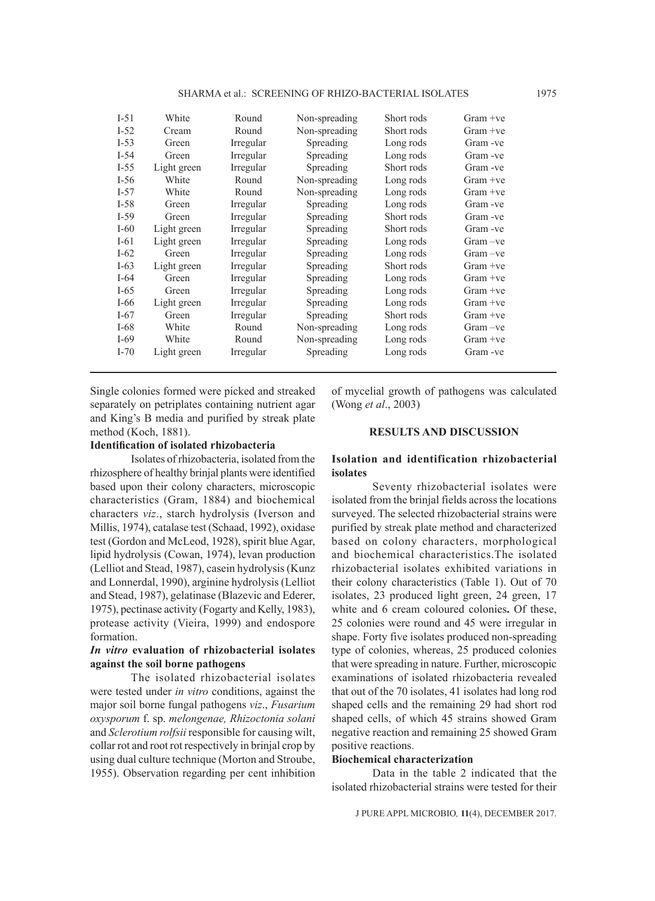| $I-51$ | White       | Round     | Non-spreading | Short rods | $Gram +ve$ |
|--------|-------------|-----------|---------------|------------|------------|
| $I-52$ | Cream       | Round     | Non-spreading | Short rods | $Gram +ve$ |
| $I-53$ | Green       | Irregular | Spreading     | Long rods  | Gram -ve   |
| $I-54$ | Green       | Irregular | Spreading     | Long rods  | Gram -ve   |
| $I-55$ | Light green | Irregular | Spreading     | Short rods | Gram -ve   |
| $I-56$ | White       | Round     | Non-spreading | Long rods  | $Gram +ve$ |
| $I-57$ | White       | Round     | Non-spreading | Long rods  | $Gram +ve$ |
| $I-58$ | Green       | Irregular | Spreading     | Long rods  | Gram -ve   |
| $I-59$ | Green       | Irregular | Spreading     | Short rods | Gram -ve   |
| $I-60$ | Light green | Irregular | Spreading     | Short rods | Gram -ve   |
| $I-61$ | Light green | Irregular | Spreading     | Long rods  | $Gram -ve$ |
| $I-62$ | Green       | Irregular | Spreading     | Long rods  | $Gram -ve$ |
| $I-63$ | Light green | Irregular | Spreading     | Short rods | $Gram +ve$ |
| $I-64$ | Green       | Irregular | Spreading     | Long rods  | $Gram +ve$ |
| $I-65$ | Green       | Irregular | Spreading     | Long rods  | $Gram +ve$ |
| $I-66$ | Light green | Irregular | Spreading     | Long rods  | $Gram +ve$ |
| $I-67$ | Green       | Irregular | Spreading     | Short rods | $Gram +ve$ |
| $I-68$ | White       | Round     | Non-spreading | Long rods  | $Gram -ve$ |
| $I-69$ | White       | Round     | Non-spreading | Long rods  | $Gram +ve$ |
| $I-70$ | Light green | Irregular | Spreading     | Long rods  | Gram -ve   |

Single colonies formed were picked and streaked separately on petriplates containing nutrient agar and King's B media and purified by streak plate method (Koch, 1881).

#### **Identification of isolated rhizobacteria**

Isolates of rhizobacteria, isolated from the rhizosphere of healthy brinjal plants were identified based upon their colony characters, microscopic characteristics (Gram, 1884) and biochemical characters *viz*., starch hydrolysis (Iverson and Millis, 1974), catalase test (Schaad, 1992), oxidase test (Gordon and McLeod, 1928), spirit blue Agar, lipid hydrolysis (Cowan, 1974), levan production (Lelliot and Stead, 1987), casein hydrolysis (Kunz and Lonnerdal, 1990), arginine hydrolysis (Lelliot and Stead, 1987), gelatinase (Blazevic and Ederer, 1975), pectinase activity (Fogarty and Kelly, 1983), protease activity (Vieira, 1999) and endospore formation.

## *In vitro* **evaluation of rhizobacterial isolates against the soil borne pathogens**

The isolated rhizobacterial isolates were tested under *in vitro* conditions, against the major soil borne fungal pathogens *viz*., *Fusarium oxysporum* f. sp. *melongenae, Rhizoctonia solani*  and *Sclerotium rolfsii* responsible for causing wilt, collar rot and root rot respectively in brinjal crop by using dual culture technique (Morton and Stroube, 1955). Observation regarding per cent inhibition

of mycelial growth of pathogens was calculated (Wong *et al*., 2003)

## **RESULTS AND DISCUSSION**

#### **Isolation and identification rhizobacterial isolates**

Seventy rhizobacterial isolates were isolated from the brinjal fields across the locations surveyed. The selected rhizobacterial strains were purified by streak plate method and characterized based on colony characters, morphological and biochemical characteristics.The isolated rhizobacterial isolates exhibited variations in their colony characteristics (Table 1). Out of 70 isolates, 23 produced light green, 24 green, 17 white and 6 cream coloured colonies**.** Of these, 25 colonies were round and 45 were irregular in shape. Forty five isolates produced non-spreading type of colonies, whereas, 25 produced colonies that were spreading in nature. Further, microscopic examinations of isolated rhizobacteria revealed that out of the 70 isolates, 41 isolates had long rod shaped cells and the remaining 29 had short rod shaped cells, of which 45 strains showed Gram negative reaction and remaining 25 showed Gram positive reactions.

## **Biochemical characterization**

Data in the table 2 indicated that the isolated rhizobacterial strains were tested for their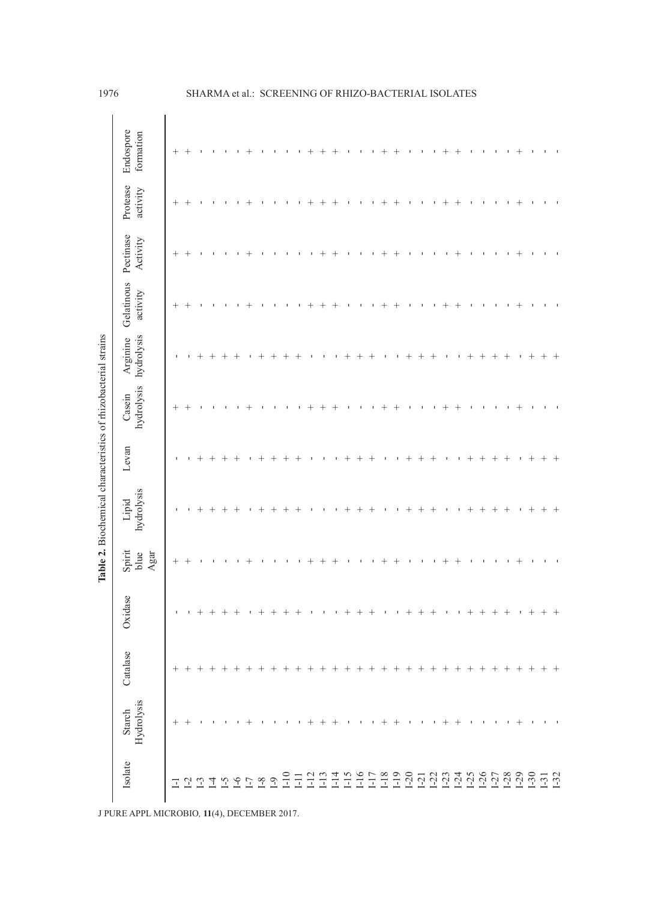|         |                      |          |                   |                                | Table 2. Biochemical characteristics of rhizobacterial strains |                    |                      |                        |                        |                       |                      |                        |
|---------|----------------------|----------|-------------------|--------------------------------|----------------------------------------------------------------|--------------------|----------------------|------------------------|------------------------|-----------------------|----------------------|------------------------|
| Isolate | Starch<br>Hydrolysis | Catalase | Oxidase           | Spirit<br>blue<br>${\rm Agar}$ | hydrolysis<br>Lipid                                            | Levan              | hydrolysis<br>Casein | hydrolysis<br>Arginine | Gelatinous<br>activity | Pectinase<br>Activity | Protease<br>activity | Endospore<br>formation |
|         |                      |          | $\mathbf I$       | $^{+}$                         | л                                                              | ٠                  | $^+$                 | ٠                      | $^+$                   | $^+$                  | $^+$                 | $^+$                   |
|         |                      |          |                   | $^{+}$                         | J.                                                             | J.                 | $^+$                 | т.                     | $^+$                   | $^{+}$                | $^+$                 | $^{+}$                 |
|         |                      |          | $+$               | п.                             | $^+$                                                           | $^+$               | J.                   | $^{+}$                 | J.                     | $\mathbf{I}$          | J.                   | $\mathbf{I}$           |
|         |                      |          | $^{+}$            | $\mathbf{I}$                   | $^+$                                                           | $^+$               |                      | $^+$                   |                        | J.                    |                      | $\mathbf{I}$           |
|         |                      |          | $^{+}$            | $\blacksquare$                 | $^+$                                                           | $\hspace{0.1mm} +$ |                      | $^+$                   |                        |                       |                      | п                      |
|         |                      |          | $^{+}$            |                                | $^+$                                                           | $^+$               |                      | $^+$                   |                        |                       |                      |                        |
|         |                      |          |                   |                                |                                                                |                    |                      | J.                     |                        |                       |                      |                        |
|         |                      |          | $+$               |                                | $^+$                                                           | ┿                  |                      | $^+$                   |                        |                       |                      | J.                     |
|         |                      |          | $+$               | J.                             | $^+$                                                           |                    |                      | ┿                      |                        |                       |                      | л.                     |
|         |                      |          | $^{+}$            | J.                             | $^+$                                                           | +                  |                      | ┿                      |                        | л                     |                      | J.                     |
|         |                      |          | $^{+}$            | л.                             | $^+$                                                           |                    |                      |                        |                        | ×.                    |                      | $\mathbf{I}$           |
|         |                      |          | $\mathbf{I}$      | $^+$                           | J.                                                             | L.                 |                      | J.                     |                        | J.                    |                      |                        |
|         |                      |          | $\mathbf{I}$      | $^+$                           |                                                                | J.                 |                      | J.                     | $^+$                   | $^+$                  |                      | $^+$                   |
|         |                      |          |                   | $^+$                           | л                                                              | J.                 | ┿                    | $\mathbf{I}$           | $^+$                   | $^{+}$                | ┿                    | $^+$                   |
|         |                      |          | $+$               | $\mathbf{I}$                   | $^+$                                                           | ┿                  |                      | $^+$                   | J.                     | $\mathbf{I}$          | J.                   | $\mathbf{I}$           |
|         |                      |          | $+$               | $\mathbf{I}$                   | $^+$                                                           |                    |                      |                        | ×.                     | ×.                    |                      | $\mathbf{I}$           |
|         |                      |          | $\left. +\right.$ | $\mathbf{I}$                   | $^+$                                                           | $^+$               |                      | $^+$                   | L.                     | L.                    |                      | $\mathbf{I}$           |
|         |                      |          | $\mathbf{I}$      | $^+$                           | $\blacksquare$                                                 | $\blacksquare$     |                      | $\mathbf{I}$           | $^+$                   | $^+$                  |                      | $^+$                   |
|         |                      |          |                   | $^+$                           | J.                                                             | J.                 |                      | J.                     | $^+$                   | $^+$                  |                      | $^{+}$                 |
|         |                      |          | $+$               | $\mathbf{I}$                   | $^+$                                                           |                    |                      |                        | J.                     | $\mathbf{I}$          | J.                   | $\mathbf{I}$           |
|         |                      |          | $+$               | $\mathbf{I}$                   | $^+$                                                           | $^+$               |                      | $^+$                   | I.                     | L.                    |                      | $\mathbf{I}$           |
|         |                      |          | $+$               | $\mathbf{I}$                   | $^{+}$                                                         | $^{+}$             |                      | $^{+}$                 | ٠                      | J.                    |                      | ×.                     |
|         |                      | $^{+}$   | $\mathbf{I}$      | $^+$                           | I.                                                             | T.                 | ┿                    | J.                     | $^+$                   | L.                    | $^+$                 | $^+$                   |
|         |                      | $+$      |                   | $^+$                           | J.                                                             | J.                 | $\hspace{0.1mm} +$   | $\mathbf{I}$           | $^{+}$                 | $^+$                  | $\hspace{0.1mm} +$   | $^{+}$                 |
|         |                      | $^{+}$   | $+$               | $\mathbf{I}$                   | $^{+}$                                                         | $^+$               |                      | $^{+}$                 | J.                     | J.                    |                      | $\mathbf{I}$           |
|         |                      | $^{+}$   | $+$               | $\mathbf{I}$                   | $^{+}$                                                         | $^{+}$             |                      | $^{+}$                 | ٠                      | ×.                    |                      | $\mathbf{I}$           |
|         |                      | $^{+}$   | $+$               | J.                             | $^{+}$                                                         | $^{+}$             |                      | $^{+}$                 |                        |                       |                      | J.                     |
|         |                      | $^{+}$   | $+$               | J.                             | $^{+}$                                                         | $^{+}$             |                      | $^{+}$                 |                        | J.                    |                      | J.                     |
|         |                      | $^{+}$   |                   | $^{+}$                         | $\mathbf{I}$                                                   | $\blacksquare$     | $\,{}^{+}\,$         | $\mathbf{I}$           | $^+$                   | $\hspace{0.1mm} +$    | $^+$                 | $^{+}$                 |
|         |                      | $^+$     | $+$               | $\mathbf{I}$                   | $^{+}$                                                         | $^+$               | п                    | $^+$                   | п                      | л.                    |                      | $\mathbf{I}$           |
|         |                      |          | $^{+}$            | L.                             | $^{+}$                                                         | $^+$               |                      | $^+$                   |                        | L.                    |                      | L.                     |
|         |                      | $^{+}$   | $+$               |                                | $^{+}$                                                         | $\frac{1}{2}$      |                      | $^{+}$                 |                        |                       |                      |                        |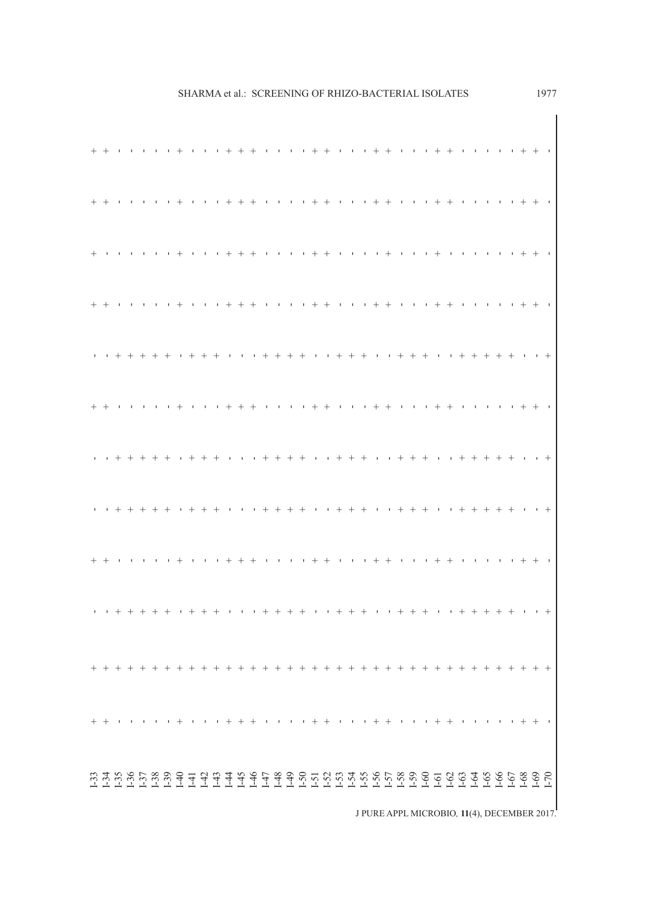|--|--|--|--|

|                                                       |  |  |  |  |  |  |  |  |  |  |  |                                                                                             |  |  |  | $\sim 10^{-1}$ H $_\odot$ .<br><br>1 |  |  |  |
|-------------------------------------------------------|--|--|--|--|--|--|--|--|--|--|--|---------------------------------------------------------------------------------------------|--|--|--|--------------------------------------|--|--|--|
|                                                       |  |  |  |  |  |  |  |  |  |  |  |                                                                                             |  |  |  |                                      |  |  |  |
| + + + + + + + +                                       |  |  |  |  |  |  |  |  |  |  |  |                                                                                             |  |  |  |                                      |  |  |  |
|                                                       |  |  |  |  |  |  |  |  |  |  |  |                                                                                             |  |  |  |                                      |  |  |  |
| . . + + + + + . + + + + + + + + + + + + + + + + + + . |  |  |  |  |  |  |  |  |  |  |  |                                                                                             |  |  |  |                                      |  |  |  |
|                                                       |  |  |  |  |  |  |  |  |  |  |  |                                                                                             |  |  |  |                                      |  |  |  |
| . . + + + + + . + + + + + + + + + + + + + + + + + +   |  |  |  |  |  |  |  |  |  |  |  |                                                                                             |  |  |  |                                      |  |  |  |
| . . + + + + + . + + + + + + + + + + + + + + + + + + + |  |  |  |  |  |  |  |  |  |  |  |                                                                                             |  |  |  |                                      |  |  |  |
|                                                       |  |  |  |  |  |  |  |  |  |  |  |                                                                                             |  |  |  |                                      |  |  |  |
| <b>1</b> 1 + + + + + + 1 + + +                        |  |  |  |  |  |  |  |  |  |  |  | 1 1 1 <del>1 1 1 1 1</del> 1 1 <del>1 1 1</del> 1 1 <del>1 1 1 1</del> 1 1 1 <del>1 1</del> |  |  |  |                                      |  |  |  |
|                                                       |  |  |  |  |  |  |  |  |  |  |  |                                                                                             |  |  |  |                                      |  |  |  |
|                                                       |  |  |  |  |  |  |  |  |  |  |  |                                                                                             |  |  |  |                                      |  |  |  |
|                                                       |  |  |  |  |  |  |  |  |  |  |  |                                                                                             |  |  |  |                                      |  |  |  |

1977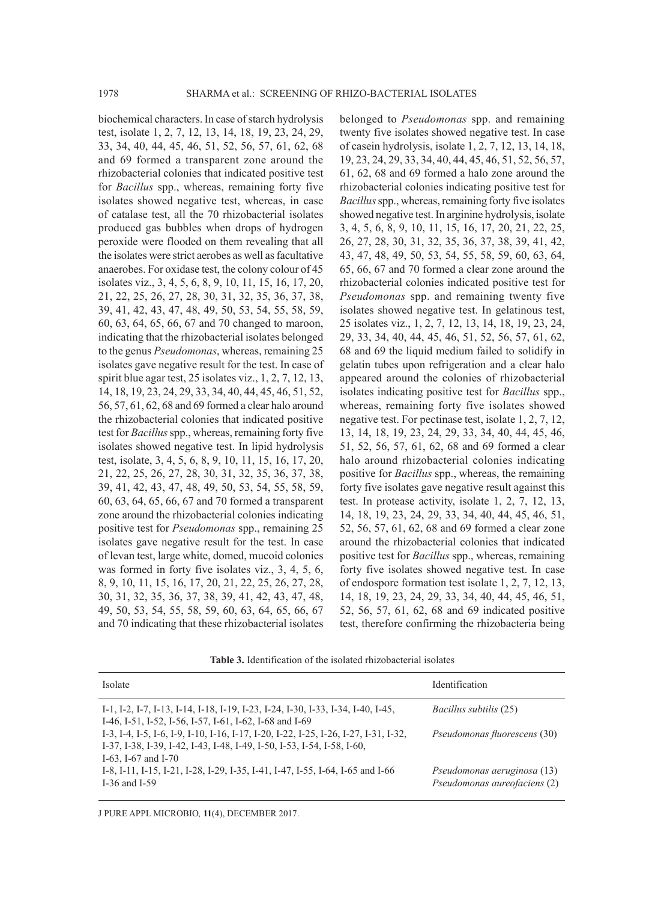biochemical characters. In case of starch hydrolysis test, isolate 1, 2, 7, 12, 13, 14, 18, 19, 23, 24, 29, 33, 34, 40, 44, 45, 46, 51, 52, 56, 57, 61, 62, 68 and 69 formed a transparent zone around the rhizobacterial colonies that indicated positive test for *Bacillus* spp., whereas, remaining forty five isolates showed negative test, whereas, in case of catalase test, all the 70 rhizobacterial isolates produced gas bubbles when drops of hydrogen peroxide were flooded on them revealing that all the isolates were strict aerobes as well as facultative anaerobes. For oxidase test, the colony colour of 45 isolates viz., 3, 4, 5, 6, 8, 9, 10, 11, 15, 16, 17, 20, 21, 22, 25, 26, 27, 28, 30, 31, 32, 35, 36, 37, 38, 39, 41, 42, 43, 47, 48, 49, 50, 53, 54, 55, 58, 59, 60, 63, 64, 65, 66, 67 and 70 changed to maroon, indicating that the rhizobacterial isolates belonged to the genus *Pseudomonas*, whereas, remaining 25 isolates gave negative result for the test. In case of spirit blue agar test, 25 isolates viz., 1, 2, 7, 12, 13, 14, 18, 19, 23, 24, 29, 33, 34, 40, 44, 45, 46, 51, 52, 56, 57, 61, 62, 68 and 69 formed a clear halo around the rhizobacterial colonies that indicated positive test for *Bacillus* spp., whereas, remaining forty five isolates showed negative test. In lipid hydrolysis test, isolate, 3, 4, 5, 6, 8, 9, 10, 11, 15, 16, 17, 20, 21, 22, 25, 26, 27, 28, 30, 31, 32, 35, 36, 37, 38, 39, 41, 42, 43, 47, 48, 49, 50, 53, 54, 55, 58, 59, 60, 63, 64, 65, 66, 67 and 70 formed a transparent zone around the rhizobacterial colonies indicating positive test for *Pseudomonas* spp., remaining 25 isolates gave negative result for the test. In case of levan test, large white, domed, mucoid colonies was formed in forty five isolates viz., 3, 4, 5, 6, 8, 9, 10, 11, 15, 16, 17, 20, 21, 22, 25, 26, 27, 28, 30, 31, 32, 35, 36, 37, 38, 39, 41, 42, 43, 47, 48, 49, 50, 53, 54, 55, 58, 59, 60, 63, 64, 65, 66, 67 and 70 indicating that these rhizobacterial isolates

belonged to *Pseudomonas* spp. and remaining twenty five isolates showed negative test. In case of casein hydrolysis, isolate 1, 2, 7, 12, 13, 14, 18, 19, 23, 24, 29, 33, 34, 40, 44, 45, 46, 51, 52, 56, 57, 61, 62, 68 and 69 formed a halo zone around the rhizobacterial colonies indicating positive test for *Bacillus* spp., whereas, remaining forty five isolates showed negative test. In arginine hydrolysis, isolate 3, 4, 5, 6, 8, 9, 10, 11, 15, 16, 17, 20, 21, 22, 25, 26, 27, 28, 30, 31, 32, 35, 36, 37, 38, 39, 41, 42, 43, 47, 48, 49, 50, 53, 54, 55, 58, 59, 60, 63, 64, 65, 66, 67 and 70 formed a clear zone around the rhizobacterial colonies indicated positive test for *Pseudomonas* spp. and remaining twenty five isolates showed negative test. In gelatinous test, 25 isolates viz., 1, 2, 7, 12, 13, 14, 18, 19, 23, 24, 29, 33, 34, 40, 44, 45, 46, 51, 52, 56, 57, 61, 62, 68 and 69 the liquid medium failed to solidify in gelatin tubes upon refrigeration and a clear halo appeared around the colonies of rhizobacterial isolates indicating positive test for *Bacillus* spp., whereas, remaining forty five isolates showed negative test. For pectinase test, isolate 1, 2, 7, 12, 13, 14, 18, 19, 23, 24, 29, 33, 34, 40, 44, 45, 46, 51, 52, 56, 57, 61, 62, 68 and 69 formed a clear halo around rhizobacterial colonies indicating positive for *Bacillus* spp., whereas, the remaining forty five isolates gave negative result against this test. In protease activity, isolate 1, 2, 7, 12, 13, 14, 18, 19, 23, 24, 29, 33, 34, 40, 44, 45, 46, 51, 52, 56, 57, 61, 62, 68 and 69 formed a clear zone around the rhizobacterial colonies that indicated positive test for *Bacillus* spp., whereas, remaining forty five isolates showed negative test. In case of endospore formation test isolate 1, 2, 7, 12, 13, 14, 18, 19, 23, 24, 29, 33, 34, 40, 44, 45, 46, 51, 52, 56, 57, 61, 62, 68 and 69 indicated positive test, therefore confirming the rhizobacteria being

**Table 3.** Identification of the isolated rhizobacterial isolates

| Isolate                                                                                                                                         | Identification                      |
|-------------------------------------------------------------------------------------------------------------------------------------------------|-------------------------------------|
| I-1, I-2, I-7, I-13, I-14, I-18, I-19, I-23, I-24, I-30, I-33, I-34, I-40, I-45,                                                                | <i>Bacillus subtilis</i> (25)       |
| I-46, I-51, I-52, I-56, I-57, I-61, I-62, I-68 and I-69<br>I-3, I-4, I-5, I-6, I-9, I-10, I-16, I-17, I-20, I-22, I-25, I-26, I-27, I-31, I-32, | <i>Pseudomonas fluorescens</i> (30) |
| I-37, I-38, I-39, I-42, I-43, I-48, I-49, I-50, I-53, I-54, I-58, I-60,<br>I-63, I-67 and I-70                                                  |                                     |
| I-8, I-11, I-15, I-21, I-28, I-29, I-35, I-41, I-47, I-55, I-64, I-65 and I-66                                                                  | Pseudomonas aeruginosa (13)         |
| I-36 and I-59                                                                                                                                   | Pseudomonas aureofaciens (2)        |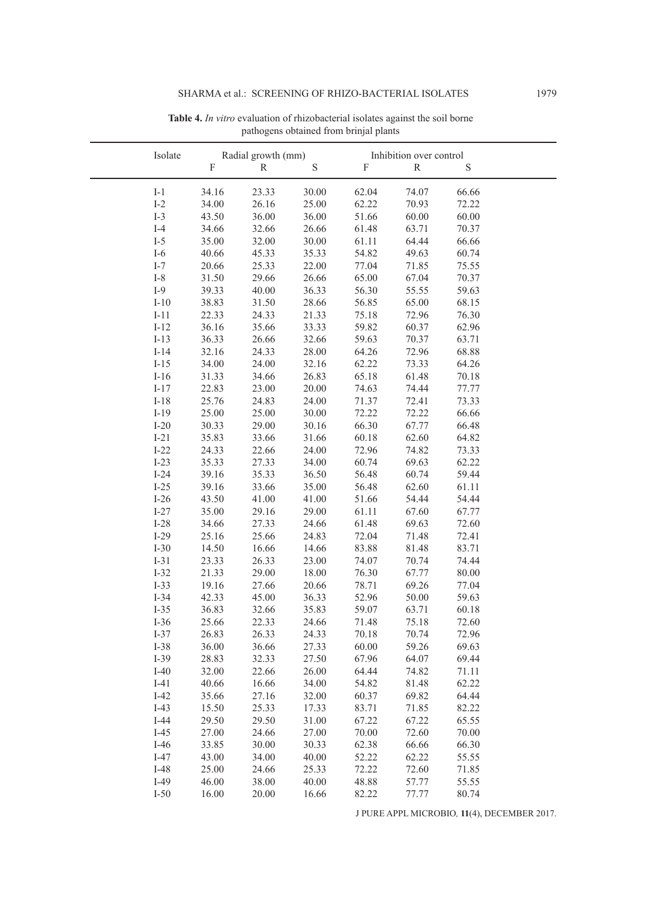| Isolate |       | Radial growth (mm) |             |       | Inhibition over control |             |  |
|---------|-------|--------------------|-------------|-------|-------------------------|-------------|--|
|         | F     | R                  | $\mathbf S$ | F     | R                       | $\mathbf S$ |  |
| $I-1$   | 34.16 | 23.33              | 30.00       | 62.04 | 74.07                   | 66.66       |  |
| $I-2$   | 34.00 | 26.16              | 25.00       | 62.22 | 70.93                   | 72.22       |  |
| $I-3$   | 43.50 | 36.00              | 36.00       | 51.66 | 60.00                   | 60.00       |  |
| $I-4$   | 34.66 | 32.66              | 26.66       | 61.48 | 63.71                   | 70.37       |  |
| $I-5$   | 35.00 | 32.00              | 30.00       | 61.11 | 64.44                   | 66.66       |  |
| $I-6$   | 40.66 | 45.33              | 35.33       | 54.82 | 49.63                   | 60.74       |  |
| $I-7$   | 20.66 | 25.33              | 22.00       | 77.04 | 71.85                   | 75.55       |  |
| $I-8$   | 31.50 | 29.66              | 26.66       | 65.00 | 67.04                   | 70.37       |  |
| $I-9$   | 39.33 | 40.00              | 36.33       | 56.30 | 55.55                   | 59.63       |  |
| $I-10$  | 38.83 | 31.50              | 28.66       | 56.85 | 65.00                   | 68.15       |  |
| $I-11$  | 22.33 | 24.33              | 21.33       | 75.18 | 72.96                   | 76.30       |  |
| $I-12$  | 36.16 | 35.66              | 33.33       | 59.82 | 60.37                   | 62.96       |  |
| $I-13$  | 36.33 | 26.66              | 32.66       | 59.63 | 70.37                   | 63.71       |  |
| $I-14$  | 32.16 | 24.33              | 28.00       | 64.26 | 72.96                   | 68.88       |  |
| $I-15$  | 34.00 | 24.00              | 32.16       | 62.22 | 73.33                   | 64.26       |  |
| $I-16$  | 31.33 | 34.66              | 26.83       | 65.18 | 61.48                   | 70.18       |  |
| $I-17$  | 22.83 | 23.00              | 20.00       | 74.63 | 74.44                   | 77.77       |  |
| $I-18$  | 25.76 | 24.83              | 24.00       | 71.37 | 72.41                   | 73.33       |  |
| $I-19$  | 25.00 | 25.00              | 30.00       | 72.22 | 72.22                   | 66.66       |  |
| $I-20$  | 30.33 | 29.00              | 30.16       | 66.30 | 67.77                   | 66.48       |  |
| $I-21$  | 35.83 | 33.66              | 31.66       | 60.18 | 62.60                   | 64.82       |  |
| $I-22$  | 24.33 | 22.66              | 24.00       | 72.96 | 74.82                   | 73.33       |  |
| $I-23$  | 35.33 | 27.33              | 34.00       | 60.74 | 69.63                   | 62.22       |  |
| $I-24$  | 39.16 | 35.33              | 36.50       | 56.48 | 60.74                   | 59.44       |  |
| $I-25$  | 39.16 | 33.66              | 35.00       | 56.48 | 62.60                   | 61.11       |  |
| $I-26$  | 43.50 | 41.00              | 41.00       | 51.66 | 54.44                   | 54.44       |  |
| $I-27$  | 35.00 | 29.16              | 29.00       | 61.11 | 67.60                   | 67.77       |  |
| $I-28$  | 34.66 | 27.33              | 24.66       | 61.48 | 69.63                   | 72.60       |  |
| $I-29$  | 25.16 | 25.66              | 24.83       | 72.04 | 71.48                   | 72.41       |  |
| $I-30$  | 14.50 | 16.66              | 14.66       | 83.88 | 81.48                   | 83.71       |  |
| $I-31$  | 23.33 | 26.33              | 23.00       | 74.07 | 70.74                   | 74.44       |  |
| $I-32$  | 21.33 | 29.00              | 18.00       | 76.30 | 67.77                   | 80.00       |  |
| $I-33$  | 19.16 | 27.66              | 20.66       | 78.71 | 69.26                   | 77.04       |  |
| $I-34$  | 42.33 | 45.00              | 36.33       | 52.96 | 50.00                   | 59.63       |  |
| $I-35$  | 36.83 | 32.66              | 35.83       | 59.07 | 63.71                   | 60.18       |  |
| $I-36$  | 25.66 | 22.33              | 24.66       | 71.48 | 75.18                   | 72.60       |  |
| $I-37$  | 26.83 | 26.33              | 24.33       | 70.18 | 70.74                   | 72.96       |  |
| $I-38$  | 36.00 | 36.66              | 27.33       | 60.00 | 59.26                   | 69.63       |  |
| $I-39$  | 28.83 | 32.33              | 27.50       | 67.96 | 64.07                   | 69.44       |  |
| $I-40$  | 32.00 | 22.66              | 26.00       | 64.44 | 74.82                   | 71.11       |  |
| $I-41$  | 40.66 | 16.66              | 34.00       | 54.82 | 81.48                   | 62.22       |  |
| $I-42$  | 35.66 | 27.16              | 32.00       | 60.37 | 69.82                   | 64.44       |  |
| $I-43$  | 15.50 | 25.33              | 17.33       | 83.71 | 71.85                   | 82.22       |  |
| $I-44$  | 29.50 | 29.50              | 31.00       | 67.22 | 67.22                   | 65.55       |  |
| $I-45$  | 27.00 | 24.66              | 27.00       | 70.00 | 72.60                   | 70.00       |  |
| $I-46$  | 33.85 | 30.00              | 30.33       | 62.38 | 66.66                   | 66.30       |  |
| $I-47$  | 43.00 | 34.00              | 40.00       | 52.22 | 62.22                   | 55.55       |  |
| $I-48$  | 25.00 | 24.66              | 25.33       | 72.22 | 72.60                   | 71.85       |  |
| $I-49$  | 46.00 | 38.00              | 40.00       | 48.88 | 57.77                   | 55.55       |  |
| $I-50$  | 16.00 | 20.00              | 16.66       | 82.22 | 77.77                   | 80.74       |  |

**Table 4.** *In vitro* evaluation of rhizobacterial isolates against the soil borne pathogens obtained from brinjal plants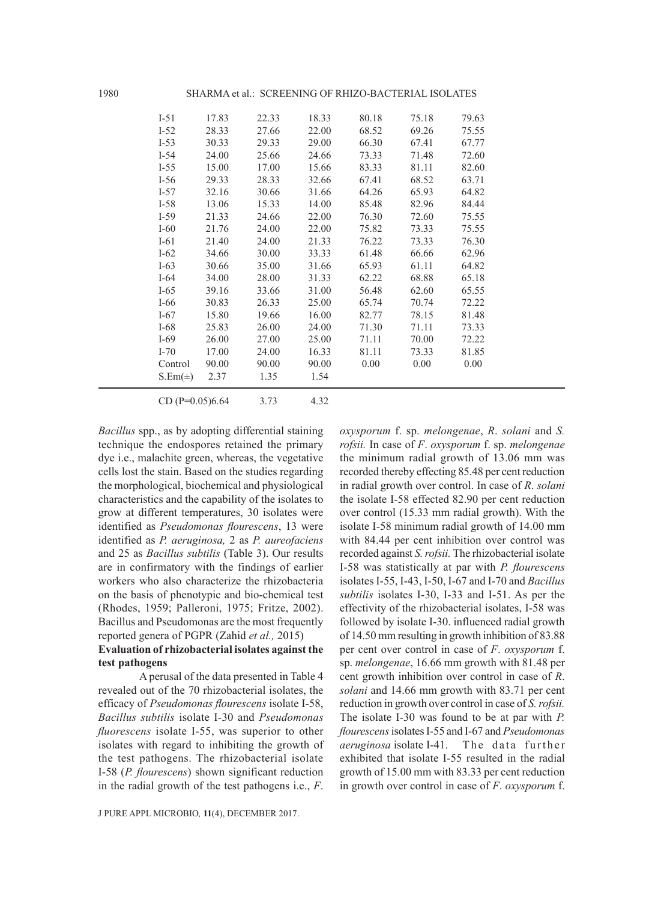| $I-51$            | 17.83 | 22.33 | 18.33 | 80.18 | 75.18 | 79.63 |
|-------------------|-------|-------|-------|-------|-------|-------|
| $I-52$            | 28.33 | 27.66 | 22.00 | 68.52 | 69.26 | 75.55 |
| $I-53$            | 30.33 | 29.33 | 29.00 | 66.30 | 67.41 | 67.77 |
| $I-54$            | 24.00 | 25.66 | 24.66 | 73.33 | 71.48 | 72.60 |
| $I-55$            | 15.00 | 17.00 | 15.66 | 83.33 | 81.11 | 82.60 |
| $I-56$            | 29.33 | 28.33 | 32.66 | 67.41 | 68.52 | 63.71 |
| $I-57$            | 32.16 | 30.66 | 31.66 | 64.26 | 65.93 | 64.82 |
| $I-58$            | 13.06 | 15.33 | 14.00 | 85.48 | 82.96 | 84.44 |
| $I-59$            | 21.33 | 24.66 | 22.00 | 76.30 | 72.60 | 75.55 |
| $I-60$            | 21.76 | 24.00 | 22.00 | 75.82 | 73.33 | 75.55 |
| $I-61$            | 21.40 | 24.00 | 21.33 | 76.22 | 73.33 | 76.30 |
| $I-62$            | 34.66 | 30.00 | 33.33 | 61.48 | 66.66 | 62.96 |
| $I-63$            | 30.66 | 35.00 | 31.66 | 65.93 | 61.11 | 64.82 |
| $I-64$            | 34.00 | 28.00 | 31.33 | 62.22 | 68.88 | 65.18 |
| $I-65$            | 39.16 | 33.66 | 31.00 | 56.48 | 62.60 | 65.55 |
| $I-66$            | 30.83 | 26.33 | 25.00 | 65.74 | 70.74 | 72.22 |
| $I-67$            | 15.80 | 19.66 | 16.00 | 82.77 | 78.15 | 81.48 |
| $I-68$            | 25.83 | 26.00 | 24.00 | 71.30 | 71.11 | 73.33 |
| $I-69$            | 26.00 | 27.00 | 25.00 | 71.11 | 70.00 | 72.22 |
| $I-70$            | 17.00 | 24.00 | 16.33 | 81.11 | 73.33 | 81.85 |
| Control           | 90.00 | 90.00 | 90.00 | 0.00  | 0.00  | 0.00  |
| $S.Em(\pm)$       | 2.37  | 1.35  | 1.54  |       |       |       |
| $CD (P=0.05)6.64$ |       | 3.73  | 4.32  |       |       |       |

*Bacillus* spp., as by adopting differential staining technique the endospores retained the primary dye i.e., malachite green, whereas, the vegetative cells lost the stain. Based on the studies regarding the morphological, biochemical and physiological characteristics and the capability of the isolates to grow at different temperatures, 30 isolates were identified as *Pseudomonas flourescens*, 13 were identified as *P. aeruginosa,* 2 as *P. aureofaciens*  and 25 as *Bacillus subtilis* (Table 3). Our results are in confirmatory with the findings of earlier workers who also characterize the rhizobacteria on the basis of phenotypic and bio-chemical test (Rhodes, 1959; Palleroni, 1975; Fritze, 2002). Bacillus and Pseudomonas are the most frequently reported genera of PGPR (Zahid *et al.,* 2015)

## **Evaluation of rhizobacterial isolates against the test pathogens**

A perusal of the data presented in Table 4 revealed out of the 70 rhizobacterial isolates, the efficacy of *Pseudomonas flourescens* isolate I-58, *Bacillus subtilis* isolate I-30 and *Pseudomonas fluorescens* isolate I-55, was superior to other isolates with regard to inhibiting the growth of the test pathogens. The rhizobacterial isolate I-58 (*P. flourescens*) shown significant reduction in the radial growth of the test pathogens i.e., *F*.

*oxysporum* f. sp. *melongenae*, *R*. *solani* and *S. rofsii.* In case of *F*. *oxysporum* f. sp. *melongenae*  the minimum radial growth of 13.06 mm was recorded thereby effecting 85.48 per cent reduction in radial growth over control. In case of *R*. *solani*  the isolate I-58 effected 82.90 per cent reduction over control (15.33 mm radial growth). With the isolate I-58 minimum radial growth of 14.00 mm with 84.44 per cent inhibition over control was recorded against *S. rofsii.* The rhizobacterial isolate I-58 was statistically at par with *P. flourescens* isolates I-55, I-43, I-50, I-67 and I-70 and *Bacillus subtilis* isolates I-30, I-33 and I-51. As per the effectivity of the rhizobacterial isolates, I-58 was followed by isolate I-30. influenced radial growth of 14.50 mm resulting in growth inhibition of 83.88 per cent over control in case of *F*. *oxysporum* f. sp. *melongenae*, 16.66 mm growth with 81.48 per cent growth inhibition over control in case of *R*. *solani* and 14.66 mm growth with 83.71 per cent reduction in growth over control in case of *S. rofsii.*  The isolate I-30 was found to be at par with *P. flourescens* isolates I-55 and I-67 and *Pseudomonas aeruginosa* isolate I-41. The data further exhibited that isolate I-55 resulted in the radial growth of 15.00 mm with 83.33 per cent reduction in growth over control in case of *F*. *oxysporum* f.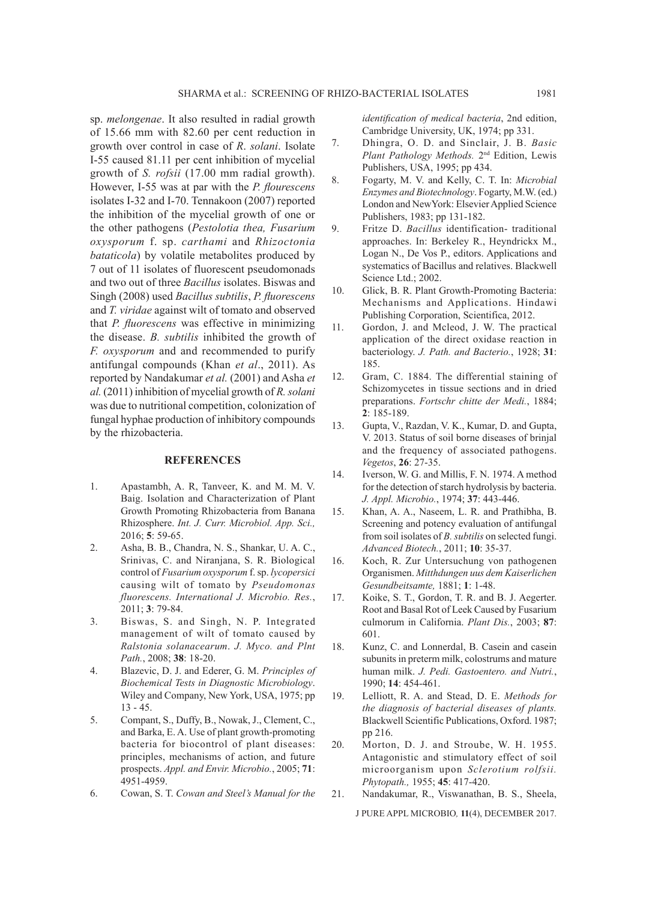sp. *melongenae*. It also resulted in radial growth of 15.66 mm with 82.60 per cent reduction in growth over control in case of *R*. *solani*. Isolate I-55 caused 81.11 per cent inhibition of mycelial growth of *S. rofsii* (17.00 mm radial growth). However, I-55 was at par with the *P. flourescens* isolates I-32 and I-70. Tennakoon (2007) reported the inhibition of the mycelial growth of one or the other pathogens (*Pestolotia thea, Fusarium oxysporum* f. sp. *carthami* and *Rhizoctonia bataticola*) by volatile metabolites produced by 7 out of 11 isolates of fluorescent pseudomonads and two out of three *Bacillus* isolates. Biswas and Singh (2008) used *Bacillus subtilis*, *P. fluorescens* and *T. viridae* against wilt of tomato and observed that *P. fluorescens* was effective in minimizing the disease. *B. subtilis* inhibited the growth of *F. oxysporum* and and recommended to purify antifungal compounds (Khan *et al*., 2011). As reported by Nandakumar *et al.* (2001) and Asha *et al.* (2011) inhibition of mycelial growth of *R. solani* was due to nutritional competition, colonization of fungal hyphae production of inhibitory compounds by the rhizobacteria.

#### **REFERENCES**

- 1. Apastambh, A. R, Tanveer, K. and M. M. V. Baig. Isolation and Characterization of Plant Growth Promoting Rhizobacteria from Banana Rhizosphere. *Int. J. Curr. Microbiol. App. Sci.,* 2016; **5**: 59-65.
- 2. Asha, B. B., Chandra, N. S., Shankar, U. A. C., Srinivas, C. and Niranjana, S. R. Biological control of *Fusarium oxysporum* f. sp. *lycopersici*  causing wilt of tomato by *Pseudomonas fluorescens. International J. Microbio. Res.*, 2011; **3**: 79-84.
- 3. Biswas, S. and Singh, N. P. Integrated management of wilt of tomato caused by *Ralstonia solanacearum*. *J. Myco. and Plnt Path.*, 2008; **38**: 18-20.
- 4. Blazevic, D. J. and Ederer, G. M. *Principles of Biochemical Tests in Diagnostic Microbiology*. Wiley and Company, New York, USA, 1975; pp 13 - 45.
- 5. Compant, S., Duffy, B., Nowak, J., Clement, C., and Barka, E. A. Use of plant growth-promoting bacteria for biocontrol of plant diseases: principles, mechanisms of action, and future prospects. *Appl. and Envir. Microbio.*, 2005; **71**: 4951-4959.
- 6. Cowan, S. T. *Cowan and Steel's Manual for the*

*identification of medical bacteria*, 2nd edition, Cambridge University, UK, 1974; pp 331.

- 7. Dhingra, O. D. and Sinclair, J. B. *Basic Plant Pathology Methods.* 2nd Edition, Lewis Publishers, USA, 1995; pp 434.
- 8. Fogarty, M. V. and Kelly, C. T. In: *Microbial Enzymes and Biotechnology*. Fogarty, M.W. (ed.) London and NewYork: Elsevier Applied Science Publishers, 1983; pp 131-182.
- 9. Fritze D. *Bacillus* identification- traditional approaches. In: Berkeley R., Heyndrickx M., Logan N., De Vos P., editors. Applications and systematics of Bacillus and relatives. Blackwell Science Ltd.; 2002.
- 10. Glick, B. R. Plant Growth-Promoting Bacteria: Mechanisms and Applications. Hindawi Publishing Corporation, Scientifica, 2012.
- 11. Gordon, J. and Mcleod, J. W. The practical application of the direct oxidase reaction in bacteriology. *J. Path. and Bacterio.*, 1928; **31**: 185.
- 12. Gram, C. 1884. The differential staining of Schizomycetes in tissue sections and in dried preparations. *Fortschr chitte der Medi.*, 1884; **2**: 185-189.
- 13. Gupta, V., Razdan, V. K., Kumar, D. and Gupta, V. 2013. Status of soil borne diseases of brinjal and the frequency of associated pathogens. *Vegetos*, **26**: 27-35.
- 14. Iverson, W. G. and Millis, F. N. 1974. A method for the detection of starch hydrolysis by bacteria. *J. Appl. Microbio.*, 1974; **37**: 443-446.
- 15. Khan, A. A., Naseem, L. R. and Prathibha, B. Screening and potency evaluation of antifungal from soil isolates of *B. subtilis* on selected fungi. *Advanced Biotech.*, 2011; **10**: 35-37.
- 16. Koch, R. Zur Untersuchung von pathogenen Organismen. *Mitthdungen uus dem Kaiserlichen Gesundbeitsamte,* 1881; **1**: 1-48.
- 17. Koike, S. T., Gordon, T. R. and B. J. Aegerter. Root and Basal Rot of Leek Caused by Fusarium culmorum in California. *Plant Dis.*, 2003; **87**: 601.
- 18. Kunz, C. and Lonnerdal, B. Casein and casein subunits in preterm milk, colostrums and mature human milk. *J. Pedi. Gastoentero. and Nutri.*, 1990; **14**: 454-461.
- 19. Lelliott, R. A. and Stead, D. E. *Methods for the diagnosis of bacterial diseases of plants.* Blackwell Scientific Publications, Oxford. 1987; pp 216.
- 20. Morton, D. J. and Stroube, W. H. 1955. Antagonistic and stimulatory effect of soil microorganism upon *Sclerotium rolfsii. Phytopath.,* 1955; **45**: 417-420.
- 21. Nandakumar, R., Viswanathan, B. S., Sheela,